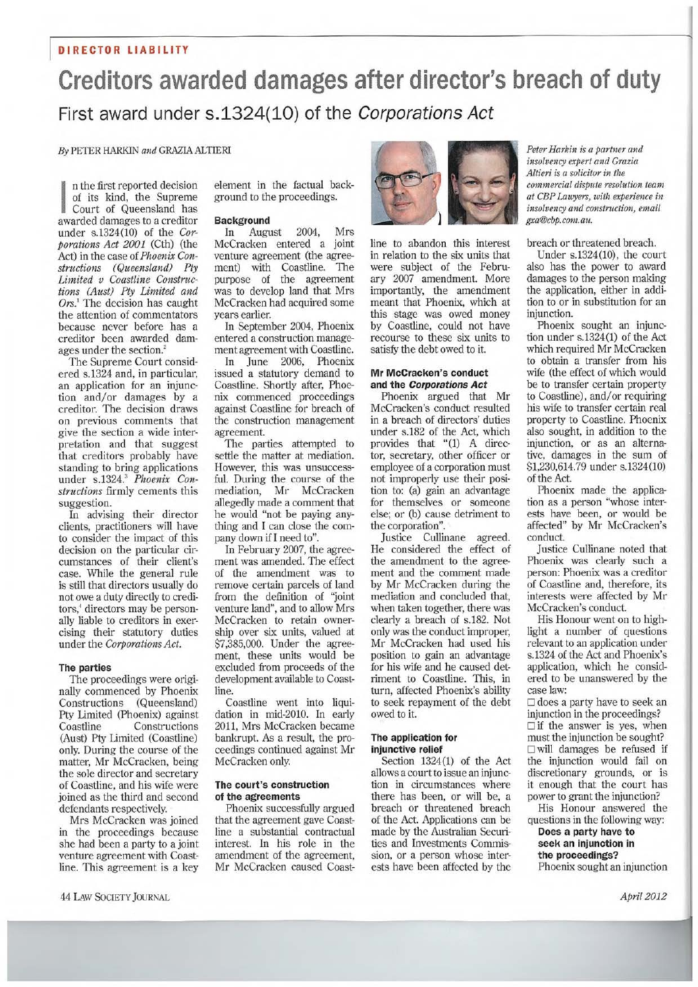### **Creditors awarded damages after director's breach of duty**  First award under s.1324(10) of the Corporations Act

*By* PETER HARKIN *and* GRAZIA ALTIERI

n the first reported decision of its kind, the Supreme Court of Queensland has awarded damages to a creditor under s.1324(10) of the *Corporations Act 2001* (Cth) (the Act) in the case of *Phoenix Constructions (Queensland) Pty Limited v Coastline Constructions (Aust) Ply Limited and Ors.'* The decision has caught the attention of commentators because never before has a creditor been awarded damages under the section.'

The Supreme Court considered s.1324 and, in particular, an application for an injunction and/or damages by a creditor. The decision draws on previous comments that give the section a wide interpretation and that suggest that creditors probably have standing to bring applications under s.1324. <sup>3</sup>*Phoenix Constructions* firmly cements this suggestion.

In advising their director clients, practitioners will have to consider the impact of this decision on the particular circumstances of their client's case. While the general rule is still that directors usually do not owe a duty directly to creditors,' directors may be personally liable to creditors in exercising their statutory duties under the *Corporations Act.* 

#### **The parties**

The proceedings were originally commenced by Phoenix<br>Constructions (Queensland) Constructions Pty Limited (Phoenix) against Constructions (Aust) Pty Limited (Coastline) only. During the course of the matter, Mr McCracken, being the sole director and secretary of Coastline, and his wife were joined as the third and second defendants respectively.

Mrs McCracken was joined in the proceedings because she had been a party to a joint venture agreement with Coastline. This agreement is a key

44 LAW SOC1E 1Y JOURNAL *April 2012* 

element in the factual background to the proceedings.

#### **Background**

In August 2004, Mrs McCracken entered a joint venture agreement (the agreement) with Coastline. The purpose of the agreement was to develop land that Mrs McCracken had acquired some years earlier.

In September 2004, Phoenix entered a construction management agreement with Coastline.

In June 2006, Phoenix issued a statutory demand to Coastline. Shortly after, Phoenix commenced proceedings against Coastline for breach of the construction management agreement.

The parties attempted to settle the matter at mediation. However, this was unsuccessful. During the course of the mediation, Mr McCracken allegedly made a comment that he would "not be paying anything and I can close the company down if I need to".

In February 2007, the agreement was amended. The effect of the amendment was to remove certain parcels of land from the definition of "joint venture land", and to allow Mrs McCracken to retain ownership over six units, valued at \$7,385,000. Under the agreement, these units would be excluded from proceeds of the development available to Coastline.

Coastline went into liquidation in mid-2010. In early 2011, Mrs McCracken became bankrupt. As a result, the proceedings continued against Mr McCracken only.

#### **The court's construction of the agreements**

Phoenix successfully argued that the agreement gave Coastline a substantial contractual interest. In his role in the amendment of the agreement, Mr McCracken caused Coast-



line to abandon this interest in relation to the six units that were subject of the February 2007 amendment. More importantly, the amendment meant that Phoenix, which at this stage was owed money by Coastline, could not have recourse to these six units to satisfy the debt owed to it.

#### **Mr McCracken's conduct and the Corporations Act**

Phoenix argued that Mr McCracken's conduct resulted in a breach of directors' duties under s.182 of the Act, which provides that "(1) A director, secretary, other officer or employee of a corporation must not improperly use their position to: (a) gain an advantage for themselves or someone else; or (b) cause detriment to the corporation".

Justice Cullinane agreed. He considered the effect of the amendment to the agreement and the comment made by Mr McCracken during the mediation and concluded that, when taken together, there was clearly a breach of s.182. Not only was the conduct improper, Mr McCracken had used his position to gain an advantage for his wife and he caused detriment to Coastline. This, in turn, affected Phoenix's ability to seek repayment of the debt owed to it.

#### The application for injunctive relief

Section 1324(1) of the Act allows a court to issue an injunction in circumstances where there has been, or will be, a breach or threatened breach of the Act. Applications can be made by the Australian Securities and Investments Commission, or a person whose interests have been affected by the *Peter Harkin is a partner and insolvency expert and Grazia Alfieri is a solicitor in the commercial dispute resolution team at CBP Lawyers, with experience in insolvency and construction, email gxa@chp.com.au.* 

breach or threatened breach.

Under s.1324(10), the court also has the power to award damages to the person making the application, either in addition to or in substitution for an injunction.

Phoenix sought an injunction under s.1324 (1) of the Act which required Mr McCracken to obtain a transfer from his wife (the effect of which would be to transfer certain property to Coastline), and/or requiring his wife to transfer certain real property to Coastline. Phoenix also sought, in addition to the injunction, or as an alternative, damages in the sum of \$1,230,614.79 under s.1324(10) of the Act.

Phoenix made the application as a person "whose interests have been, or would be affected" by Mr McCracken's conduct.

Justice Cullinane noted that Phoenix was clearly such a person: Phoenix was a creditor of Coastline and, therefore, its interests were affected by Mr McCracken's conduct.

His Honour went on to highlight a number of questions relevant to an application under s.1324 of the Act and Phoenix's application, which he considered to be unanswered by the case law:

❑ does a party have to seek an injunction in the proceedings? ❑ if the answer is yes, when must the injunction be sought? ❑ will damages be refused if the injunction would fail on discretionary grounds, or is it enough that the court has power to grant the injunction?

His Honour answered the questions in the following way:

**Does a party have to seek an injunction in the proceedings?**  Phoenix sought an injunction